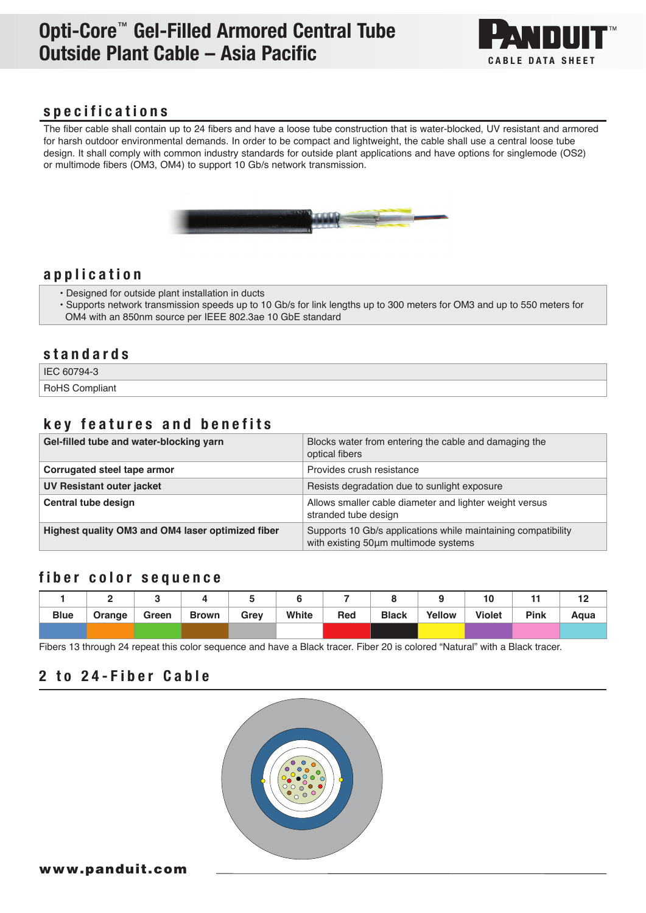# Opti-Core™ Gel-Filled Armored Central Tube Outside Plant Cable – Asia Pacific CABLE DATA SHEET



### specifications

The fiber cable shall contain up to 24 fibers and have a loose tube construction that is water-blocked, UV resistant and armored for harsh outdoor environmental demands. In order to be compact and lightweight, the cable shall use a central loose tube design. It shall comply with common industry standards for outside plant applications and have options for singlemode (OS2) or multimode fibers (OM3, OM4) to support 10 Gb/s network transmission.



### application

- Designed for outside plant installation in ducts
- Supports network transmission speeds up to 10 Gb/s for link lengths up to 300 meters for OM3 and up to 550 meters for OM4 with an 850nm source per IEEE 802.3ae 10 GbE standard

#### standards

IEC 60794-3

RoHS Compliant

## key features and benefits

| Gel-filled tube and water-blocking yarn           | Blocks water from entering the cable and damaging the<br>optical fibers                               |
|---------------------------------------------------|-------------------------------------------------------------------------------------------------------|
| Corrugated steel tape armor                       | Provides crush resistance                                                                             |
| UV Resistant outer jacket                         | Resists degradation due to sunlight exposure                                                          |
| Central tube design                               | Allows smaller cable diameter and lighter weight versus<br>stranded tube design                       |
| Highest quality OM3 and OM4 laser optimized fiber | Supports 10 Gb/s applications while maintaining compatibility<br>with existing 50um multimode systems |

### fiber color sequence

|             |        |       |              |      |       |     |              |        |               |      | $-$  |
|-------------|--------|-------|--------------|------|-------|-----|--------------|--------|---------------|------|------|
| <b>Blue</b> | Orange | Green | <b>Brown</b> | Grev | White | Red | <b>Black</b> | Yellow | <b>Violet</b> | Pink | Aqua |
|             |        |       |              |      |       |     |              |        |               |      |      |

Fibers 13 through 24 repeat this color sequence and have a Black tracer. Fiber 20 is colored "Natural" with a Black tracer.

# 2 to 24-Fiber Cable